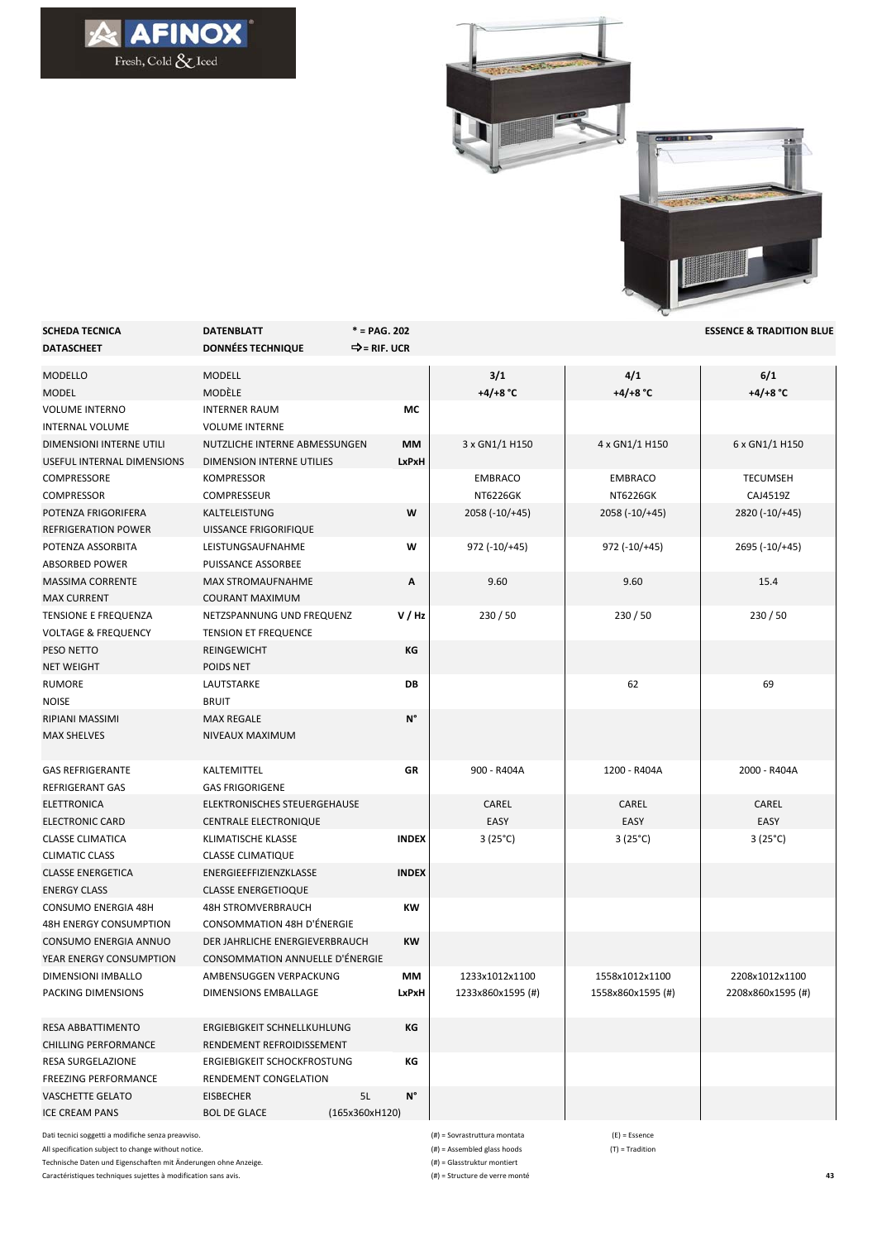





| <b>SCHEDA TECNICA</b><br><b>DATASCHEET</b> | <b>DATENBLATT</b><br><b>DONNÉES TECHNIQUE</b> | $* = PAG. 202$<br>$\Rightarrow$ = RIF. UCR |                  |                  | <b>ESSENCE &amp; TRADITION BLUE</b> |
|--------------------------------------------|-----------------------------------------------|--------------------------------------------|------------------|------------------|-------------------------------------|
| MODELLO<br><b>MODEL</b>                    | <b>MODELL</b><br>MODÈLE                       |                                            | 3/1<br>+4/+8 °C  | 4/1<br>+4/+8 °C  | 6/1<br>+4/+8 °C                     |
| <b>VOLUME INTERNO</b>                      | <b>INTERNER RAUM</b>                          | МC                                         |                  |                  |                                     |
| <b>INTERNAL VOLUME</b>                     | <b>VOLUME INTERNE</b>                         |                                            |                  |                  |                                     |
| DIMENSIONI INTERNE UTILI                   | NUTZLICHE INTERNE ABMESSUNGEN                 | МM                                         | 3 x GN1/1 H150   | 4 x GN1/1 H150   | 6 x GN1/1 H150                      |
| USEFUL INTERNAL DIMENSIONS                 | DIMENSION INTERNE UTILIES                     | LxPxH                                      |                  |                  |                                     |
| COMPRESSORE                                | <b>KOMPRESSOR</b>                             |                                            | <b>EMBRACO</b>   | <b>EMBRACO</b>   | <b>TECUMSEH</b>                     |
| <b>COMPRESSOR</b>                          | COMPRESSEUR                                   |                                            | NT6226GK         | NT6226GK         | CAJ4519Z                            |
| POTENZA FRIGORIFERA                        | KALTELEISTUNG                                 | W                                          | 2058 (-10/+45)   | $2058 (-10/+45)$ | 2820 (-10/+45)                      |
| <b>REFRIGERATION POWER</b>                 | UISSANCE FRIGORIFIQUE                         |                                            |                  |                  |                                     |
| POTENZA ASSORBITA                          | LEISTUNGSAUFNAHME                             | w                                          | 972 (-10/+45)    | 972 (-10/+45)    | 2695 (-10/+45)                      |
| <b>ABSORBED POWER</b>                      | PUISSANCE ASSORBEE                            |                                            |                  |                  |                                     |
| <b>MASSIMA CORRENTE</b>                    | <b>MAX STROMAUFNAHME</b>                      | Α                                          | 9.60             | 9.60             | 15.4                                |
| <b>MAX CURRENT</b>                         | <b>COURANT MAXIMUM</b>                        |                                            |                  |                  |                                     |
| <b>TENSIONE E FREQUENZA</b>                | NETZSPANNUNG UND FREQUENZ                     | V/Hz                                       | 230/50           | 230/50           | 230/50                              |
| <b>VOLTAGE &amp; FREQUENCY</b>             | <b>TENSION ET FREQUENCE</b>                   |                                            |                  |                  |                                     |
| PESO NETTO                                 | <b>REINGEWICHT</b>                            | КG                                         |                  |                  |                                     |
| <b>NET WEIGHT</b>                          | POIDS NET                                     |                                            |                  |                  |                                     |
| <b>RUMORE</b>                              | LAUTSTARKE                                    | DB                                         |                  | 62               | 69                                  |
| <b>NOISE</b>                               | <b>BRUIT</b>                                  |                                            |                  |                  |                                     |
| RIPIANI MASSIMI                            | <b>MAX REGALE</b>                             | N°                                         |                  |                  |                                     |
| <b>MAX SHELVES</b>                         | NIVEAUX MAXIMUM                               |                                            |                  |                  |                                     |
| <b>GAS REFRIGERANTE</b>                    | KALTEMITTEL                                   | GR                                         | 900 - R404A      | 1200 - R404A     | 2000 - R404A                        |
| REFRIGERANT GAS                            | <b>GAS FRIGORIGENE</b>                        |                                            |                  |                  |                                     |
| ELETTRONICA                                | ELEKTRONISCHES STEUERGEHAUSE                  |                                            | CAREL            | CAREL            | CAREL                               |
| <b>ELECTRONIC CARD</b>                     | <b>CENTRALE ELECTRONIQUE</b>                  |                                            | EASY             | EASY             | EASY                                |
| <b>CLASSE CLIMATICA</b>                    | KLIMATISCHE KLASSE                            | <b>INDEX</b>                               | $3(25^{\circ}C)$ | $3(25^{\circ}C)$ | $3(25^{\circ}C)$                    |
| <b>CLIMATIC CLASS</b>                      | <b>CLASSE CLIMATIQUE</b>                      |                                            |                  |                  |                                     |
| <b>CLASSE ENERGETICA</b>                   | ENERGIEEFFIZIENZKLASSE                        | <b>INDEX</b>                               |                  |                  |                                     |
| <b>ENERGY CLASS</b>                        | <b>CLASSE ENERGETIOQUE</b>                    |                                            |                  |                  |                                     |
| <b>CONSUMO ENERGIA 48H</b>                 | <b>48H STROMVERBRAUCH</b>                     | KW                                         |                  |                  |                                     |
| <b>48H ENERGY CONSUMPTION</b>              | <b>CONSOMMATION 48H D'ÉNERGIE</b>             |                                            |                  |                  |                                     |
| CONSUMO ENERGIA ANNUO                      | DER JAHRLICHE ENERGIEVERBRAUCH                | KW                                         |                  |                  |                                     |
| YEAR ENERGY CONSUMPTION                    | CONSOMMATION ANNUELLE D'ÉNERGIE               |                                            |                  |                  |                                     |
| DIMENSIONI IMBALLO                         | AMBENSUGGEN VERPACKUNG                        | MМ                                         | 1233x1012x1100   | 1558x1012x1100   | 2208x1012x1100                      |
| PACKING DIMENSIONS                         | DIMENSIONS EMBALLAGE                          | LxPxH                                      | 1233x860x1595(#) | 1558x860x1595(#) | 2208x860x1595(#)                    |
| RESA ABBATTIMENTO                          | ERGIEBIGKEIT SCHNELLKUHLUNG                   | КG                                         |                  |                  |                                     |
| <b>CHILLING PERFORMANCE</b>                | RENDEMENT REFROIDISSEMENT                     |                                            |                  |                  |                                     |
| RESA SURGELAZIONE                          | ERGIEBIGKEIT SCHOCKFROSTUNG                   | КG                                         |                  |                  |                                     |
| FREEZING PERFORMANCE                       | RENDEMENT CONGELATION                         |                                            |                  |                  |                                     |
| VASCHETTE GELATO                           | <b>EISBECHER</b>                              | N°<br>5L                                   |                  |                  |                                     |
| <b>ICE CREAM PANS</b>                      | <b>BOL DE GLACE</b>                           | (165x360xH120)                             |                  |                  |                                     |

Dati tecnici soggetti a modifiche senza preavviso. All specification subject to change without notice.

Technische Daten und Eigenschaften mit Änderungen ohne Anzeige.

Caractéristiques techniques sujettes à modification sans avis.

(#) = Assembled glass hoods (T) = Tradition

(#) = Glasstruktur montiert

(#) = Structure de verre monté **43**

(#) = Sovrastruttura montata (E) = Essence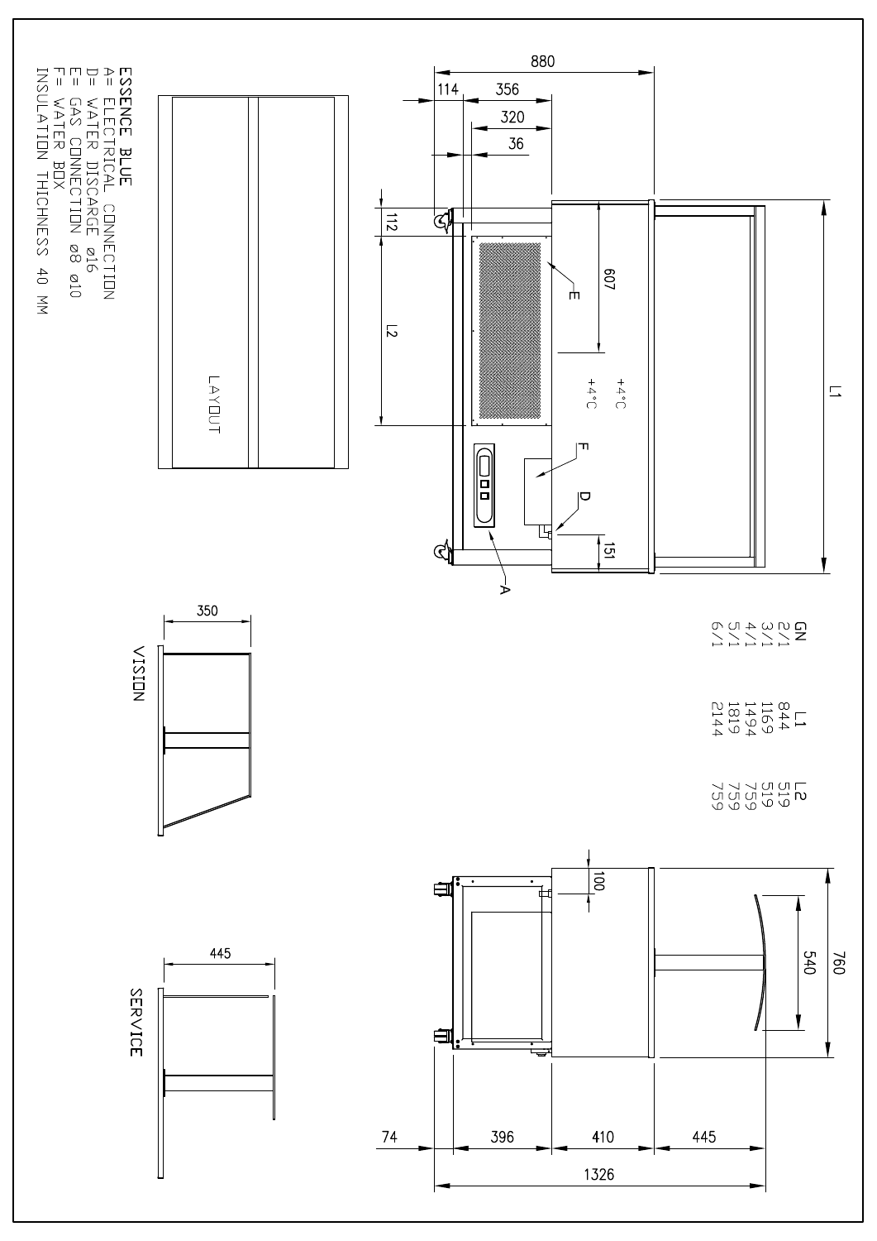